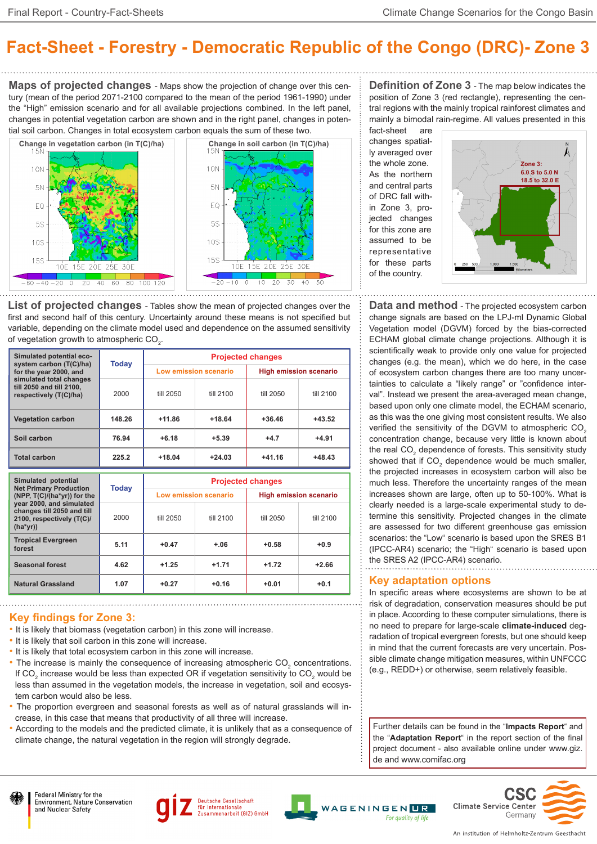# **Fact-Sheet - Forestry - Democratic Republic of the Congo (DRC)- Zone 3**

**Maps of projected changes** - Maps show the projection of change over this century (mean of the period 2071-2100 compared to the mean of the period 1961-1990) under the "High" emission scenario and for all available projections combined. In the left panel, changes in potential vegetation carbon are shown and in the right panel, changes in potential soil carbon. Changes in total ecosystem carbon equals the sum of these two.



**List of projected changes** - Tables show the mean of projected changes over the first and second half of this century. Uncertainty around these means is not specified but variable, depending on the climate model used and dependence on the assumed sensitivity of vegetation growth to atmospheric CO $_2$ .

| Simulated potential eco-<br>system carbon (T(C)/ha)<br>for the year 2000, and<br>simulated total changes<br>till 2050 and till 2100.<br>respectively (T(C)/ha) | Today  | <b>Projected changes</b> |           |                               |           |  |
|----------------------------------------------------------------------------------------------------------------------------------------------------------------|--------|--------------------------|-----------|-------------------------------|-----------|--|
|                                                                                                                                                                |        | Low emission scenario    |           | <b>High emission scenario</b> |           |  |
|                                                                                                                                                                | 2000   | till 2050                | till 2100 | till 2050                     | till 2100 |  |
| <b>Vegetation carbon</b>                                                                                                                                       | 148.26 | $+11.86$                 | $+18.64$  | $+36.46$                      | $+43.52$  |  |
| Soil carbon                                                                                                                                                    | 76.94  | $+6.18$                  | $+5.39$   | $+4.7$                        | $+4.91$   |  |
| <b>Total carbon</b>                                                                                                                                            | 225.2  | $+18.04$                 | $+24.03$  | $+41.16$                      | $+48.43$  |  |

| Simulated potential<br><b>Net Primary Production</b><br>(NPP, T(C)/(ha*yr)) for the<br>year 2000, and simulated<br>changes till 2050 and till<br>2100, respectively (T(C)/<br>$(ha*vr))$ | Today | <b>Projected changes</b> |           |                               |           |  |
|------------------------------------------------------------------------------------------------------------------------------------------------------------------------------------------|-------|--------------------------|-----------|-------------------------------|-----------|--|
|                                                                                                                                                                                          |       | Low emission scenario    |           | <b>High emission scenario</b> |           |  |
|                                                                                                                                                                                          | 2000  | till 2050                | till 2100 | till 2050                     | till 2100 |  |
| <b>Tropical Evergreen</b><br>forest                                                                                                                                                      | 5.11  | $+0.47$                  | $+.06$    | $+0.58$                       | $+0.9$    |  |
| <b>Seasonal forest</b>                                                                                                                                                                   | 4.62  | $+1.25$                  | $+1.71$   | $+1.72$                       | $+2.66$   |  |
| <b>Natural Grassland</b>                                                                                                                                                                 | 1.07  | $+0.27$                  | $+0.16$   | $+0.01$                       | $+0.1$    |  |

### **Key findings for Zone 3:**

- It is likely that biomass (vegetation carbon) in this zone will increase.
- It is likely that soil carbon in this zone will increase.
- It is likely that total ecosystem carbon in this zone will increase.
- The increase is mainly the consequence of increasing atmospheric  $CO<sub>2</sub>$  concentrations. If CO<sub>2</sub> increase would be less than expected OR if vegetation sensitivity to CO<sub>2</sub> would be less than assumed in the vegetation models, the increase in vegetation, soil and ecosystem carbon would also be less.
- The proportion evergreen and seasonal forests as well as of natural grasslands will increase, in this case that means that productivity of all three will increase.
- According to the models and the predicted climate, it is unlikely that as a consequence of climate change, the natural vegetation in the region will strongly degrade.

**Definition of Zone 3** - The map below indicates the position of Zone 3 (red rectangle), representing the central regions with the mainly tropical rainforest climates and mainly a bimodal rain-regime. All values presented in this

fact-sheet are changes spatially averaged over the whole zone. As the northern and central parts of DRC fall within Zone 3, projected changes for this zone are assumed to be representative for these parts of the country.



**Data and method** - The projected ecosystem carbon change signals are based on the LPJ-ml Dynamic Global Vegetation model (DGVM) forced by the bias-corrected ECHAM global climate change projections. Although it is scientifically weak to provide only one value for projected changes (e.g. the mean), which we do here, in the case of ecosystem carbon changes there are too many uncertainties to calculate a "likely range" or "confidence interval". Instead we present the area-averaged mean change, based upon only one climate model, the ECHAM scenario, as this was the one giving most consistent results. We also verified the sensitivity of the DGVM to atmospheric CO<sub>2</sub> concentration change, because very little is known about the real CO<sub>2</sub> dependence of forests. This sensitivity study showed that if  $CO<sub>2</sub>$  dependence would be much smaller, the projected increases in ecosystem carbon will also be much less. Therefore the uncertainty ranges of the mean increases shown are large, often up to 50-100%. What is clearly needed is a large-scale experimental study to determine this sensitivity. Projected changes in the climate are assessed for two different greenhouse gas emission scenarios: the "Low" scenario is based upon the SRES B1 (IPCC-AR4) scenario; the "High" scenario is based upon the SRES A2 (IPCC-AR4) scenario.

#### **Key adaptation options**

In specific areas where ecosystems are shown to be at risk of degradation, conservation measures should be put in place. According to these computer simulations, there is no need to prepare for large-scale **climate-induced** degradation of tropical evergreen forests, but one should keep in mind that the current forecasts are very uncertain. Possible climate change mitigation measures, within UNFCCC (e.g., REDD+) or otherwise, seem relatively feasible.

Further details can be found in the "**Impacts Report**" and the "**Adaptation Report**" in the report section of the final project document - also available online under www.giz. de and www.comifac.org











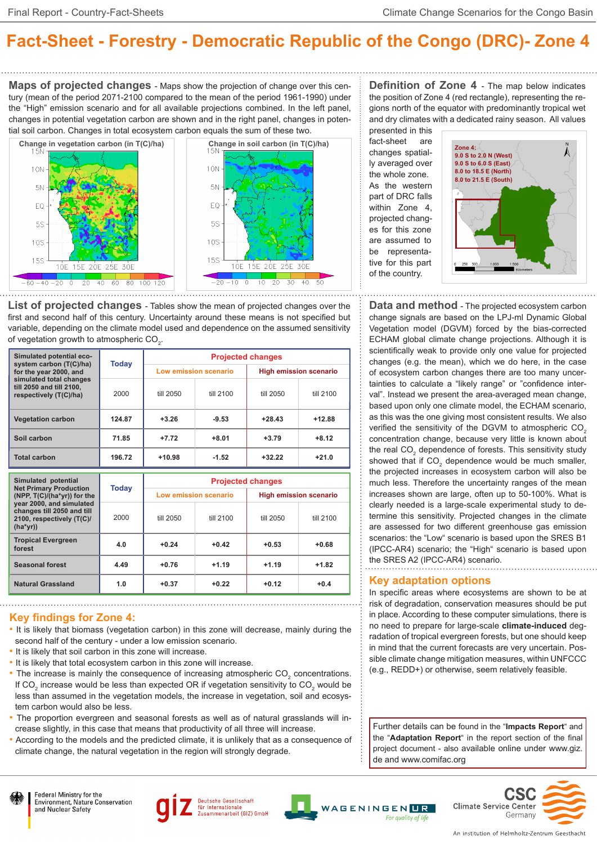# **Fact-Sheet - Forestry - Democratic Republic of the Congo (DRC)- Zone 4**

**Maps of projected changes** - Maps show the projection of change over this century (mean of the period 2071-2100 compared to the mean of the period 1961-1990) under the "High" emission scenario and for all available projections combined. In the left panel, changes in potential vegetation carbon are shown and in the right panel, changes in potential soil carbon. Changes in total ecosystem carbon equals the sum of these two.



**List of projected changes** - Tables show the mean of projected changes over the first and second half of this century. Uncertainty around these means is not specified but variable, depending on the climate model used and dependence on the assumed sensitivity of vegetation growth to atmospheric CO $_2$ .

| Simulated potential eco-<br>system carbon (T(C)/ha)<br>for the year 2000, and<br>simulated total changes<br>till 2050 and till 2100.<br>respectively (T(C)/ha) | Today  | <b>Projected changes</b> |           |                               |           |  |
|----------------------------------------------------------------------------------------------------------------------------------------------------------------|--------|--------------------------|-----------|-------------------------------|-----------|--|
|                                                                                                                                                                |        | Low emission scenario    |           | <b>High emission scenario</b> |           |  |
|                                                                                                                                                                | 2000   | till 2050                | till 2100 | till 2050                     | till 2100 |  |
| <b>Vegetation carbon</b>                                                                                                                                       | 124.87 | $+3.26$                  | $-9.53$   | $+28.43$                      | $+12.88$  |  |
| Soil carbon                                                                                                                                                    | 71.85  | $+7.72$                  | $+8.01$   | $+3.79$                       | $+8.12$   |  |
| <b>Total carbon</b>                                                                                                                                            | 196.72 | $+10.98$                 | $-1.52$   | $+32.22$                      | $+21.0$   |  |

| Simulated potential<br><b>Net Primary Production</b><br>(NPP, T(C)/(ha*yr)) for the<br>year 2000, and simulated<br>changes till 2050 and till<br>2100, respectively (T(C)/<br>$(ha*yr))$ | <b>Today</b> | <b>Projected changes</b> |           |                               |           |  |
|------------------------------------------------------------------------------------------------------------------------------------------------------------------------------------------|--------------|--------------------------|-----------|-------------------------------|-----------|--|
|                                                                                                                                                                                          |              | Low emission scenario    |           | <b>High emission scenario</b> |           |  |
|                                                                                                                                                                                          | 2000         | till 2050                | till 2100 | till 2050                     | till 2100 |  |
| <b>Tropical Evergreen</b><br>forest                                                                                                                                                      | 4.0          | $+0.24$                  | $+0.42$   | $+0.53$                       | $+0.68$   |  |
| <b>Seasonal forest</b>                                                                                                                                                                   | 4.49         | $+0.76$                  | $+1.19$   | $+1.19$                       | $+1.82$   |  |
| <b>Natural Grassland</b>                                                                                                                                                                 | 1.0          | $+0.37$                  | $+0.22$   | $+0.12$                       | $+0.4$    |  |

### **Key findings for Zone 4:**

- It is likely that biomass (vegetation carbon) in this zone will decrease, mainly during the second half of the century - under a low emission scenario.
- It is likely that soil carbon in this zone will increase.
- It is likely that total ecosystem carbon in this zone will increase.
- The increase is mainly the consequence of increasing atmospheric  $CO_2$  concentrations. If CO<sub>2</sub> increase would be less than expected OR if vegetation sensitivity to CO<sub>2</sub> would be less than assumed in the vegetation models, the increase in vegetation, soil and ecosystem carbon would also be less.
- The proportion evergreen and seasonal forests as well as of natural grasslands will increase slightly, in this case that means that productivity of all three will increase.
- According to the models and the predicted climate, it is unlikely that as a consequence of climate change, the natural vegetation in the region will strongly degrade.

**Definition of Zone 4** - The map below indicates the position of Zone 4 (red rectangle), representing the regions north of the equator with predominantly tropical wet and dry climates with a dedicated rainy season. All values presented in this

fact-sheet are changes spatially averaged over the whole zone. As the western part of DRC falls within Zone 4, projected changes for this zone are assumed to be representative for this part of the country.



**Data and method** - The projected ecosystem carbon change signals are based on the LPJ-ml Dynamic Global Vegetation model (DGVM) forced by the bias-corrected ECHAM global climate change projections. Although it is scientifically weak to provide only one value for projected changes (e.g. the mean), which we do here, in the case of ecosystem carbon changes there are too many uncertainties to calculate a "likely range" or "confidence interval". Instead we present the area-averaged mean change, based upon only one climate model, the ECHAM scenario, as this was the one giving most consistent results. We also verified the sensitivity of the DGVM to atmospheric CO<sub>2</sub> concentration change, because very little is known about the real CO<sub>2</sub> dependence of forests. This sensitivity study showed that if  $CO<sub>2</sub>$  dependence would be much smaller, the projected increases in ecosystem carbon will also be much less. Therefore the uncertainty ranges of the mean increases shown are large, often up to 50-100%. What is clearly needed is a large-scale experimental study to determine this sensitivity. Projected changes in the climate are assessed for two different greenhouse gas emission scenarios: the "Low" scenario is based upon the SRES B1 (IPCC-AR4) scenario; the "High" scenario is based upon the SRES A2 (IPCC-AR4) scenario.

#### **Key adaptation options**

In specific areas where ecosystems are shown to be at risk of degradation, conservation measures should be put in place. According to these computer simulations, there is no need to prepare for large-scale **climate-induced** degradation of tropical evergreen forests, but one should keep in mind that the current forecasts are very uncertain. Possible climate change mitigation measures, within UNFCCC (e.g., REDD+) or otherwise, seem relatively feasible.

Further details can be found in the "**Impacts Report**" and the "**Adaptation Report**" in the report section of the final project document - also available online under www.giz. de and www.comifac.org













An institution of Helmholtz-Zentrum Geesthacht